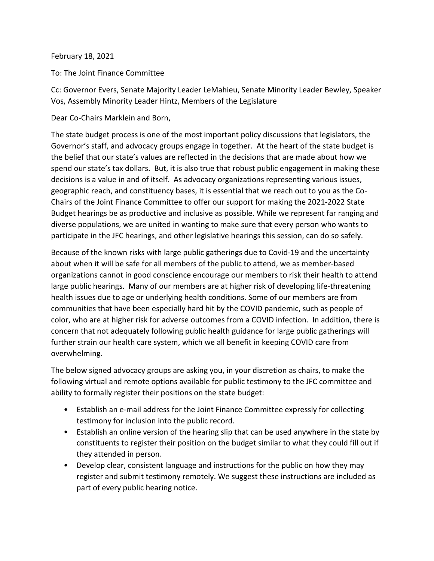## February 18, 2021

To: The Joint Finance Committee

Cc: Governor Evers, Senate Majority Leader LeMahieu, Senate Minority Leader Bewley, Speaker Vos, Assembly Minority Leader Hintz, Members of the Legislature

Dear Co-Chairs Marklein and Born,

The state budget process is one of the most important policy discussions that legislators, the Governor's staff, and advocacy groups engage in together. At the heart of the state budget is the belief that our state's values are reflected in the decisions that are made about how we spend our state's tax dollars. But, it is also true that robust public engagement in making these decisions is a value in and of itself. As advocacy organizations representing various issues, geographic reach, and constituency bases, it is essential that we reach out to you as the Co-Chairs of the Joint Finance Committee to offer our support for making the 2021-2022 State Budget hearings be as productive and inclusive as possible. While we represent far ranging and diverse populations, we are united in wanting to make sure that every person who wants to participate in the JFC hearings, and other legislative hearings this session, can do so safely.

Because of the known risks with large public gatherings due to Covid-19 and the uncertainty about when it will be safe for all members of the public to attend, we as member-based organizations cannot in good conscience encourage our members to risk their health to attend large public hearings. Many of our members are at higher risk of developing life-threatening health issues due to age or underlying health conditions. Some of our members are from communities that have been especially hard hit by the COVID pandemic, such as people of color, who are at higher risk for adverse outcomes from a COVID infection. In addition, there is concern that not adequately following public health guidance for large public gatherings will further strain our health care system, which we all benefit in keeping COVID care from overwhelming.

The below signed advocacy groups are asking you, in your discretion as chairs, to make the following virtual and remote options available for public testimony to the JFC committee and ability to formally register their positions on the state budget:

- Establish an e-mail address for the Joint Finance Committee expressly for collecting testimony for inclusion into the public record.
- Establish an online version of the hearing slip that can be used anywhere in the state by constituents to register their position on the budget similar to what they could fill out if they attended in person.
- Develop clear, consistent language and instructions for the public on how they may register and submit testimony remotely. We suggest these instructions are included as part of every public hearing notice.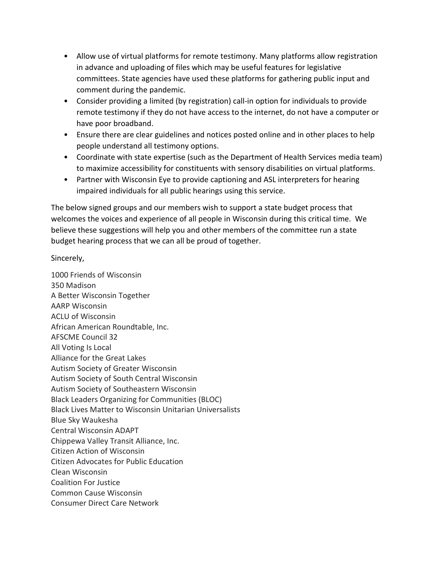- Allow use of virtual platforms for remote testimony. Many platforms allow registration in advance and uploading of files which may be useful features for legislative committees. State agencies have used these platforms for gathering public input and comment during the pandemic.
- Consider providing a limited (by registration) call-in option for individuals to provide remote testimony if they do not have access to the internet, do not have a computer or have poor broadband.
- Ensure there are clear guidelines and notices posted online and in other places to help people understand all testimony options.
- Coordinate with state expertise (such as the Department of Health Services media team) to maximize accessibility for constituents with sensory disabilities on virtual platforms.
- Partner with Wisconsin Eye to provide captioning and ASL interpreters for hearing impaired individuals for all public hearings using this service.

The below signed groups and our members wish to support a state budget process that welcomes the voices and experience of all people in Wisconsin during this critical time. We believe these suggestions will help you and other members of the committee run a state budget hearing process that we can all be proud of together.

Sincerely,

1000 Friends of Wisconsin 350 Madison A Better Wisconsin Together AARP Wisconsin ACLU of Wisconsin African American Roundtable, Inc. AFSCME Council 32 All Voting Is Local Alliance for the Great Lakes Autism Society of Greater Wisconsin Autism Society of South Central Wisconsin Autism Society of Southeastern Wisconsin Black Leaders Organizing for Communities (BLOC) Black Lives Matter to Wisconsin Unitarian Universalists Blue Sky Waukesha Central Wisconsin ADAPT Chippewa Valley Transit Alliance, Inc. Citizen Action of Wisconsin Citizen Advocates for Public Education Clean Wisconsin Coalition For Justice Common Cause Wisconsin Consumer Direct Care Network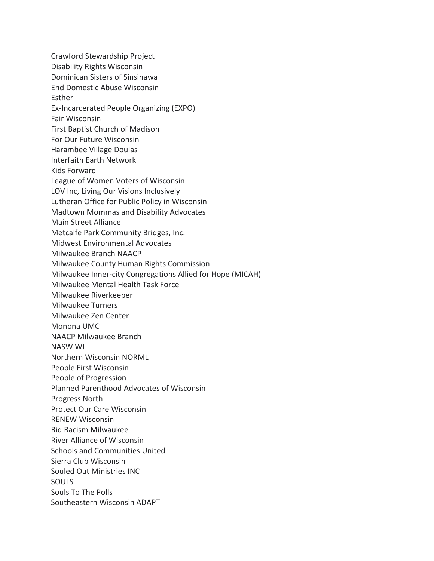Crawford Stewardship Project Disability Rights Wisconsin Dominican Sisters of Sinsinawa End Domestic Abuse Wisconsin Esther Ex-Incarcerated People Organizing (EXPO) Fair Wisconsin First Baptist Church of Madison For Our Future Wisconsin Harambee Village Doulas Interfaith Earth Network Kids Forward League of Women Voters of Wisconsin LOV Inc, Living Our Visions Inclusively Lutheran Office for Public Policy in Wisconsin Madtown Mommas and Disability Advocates Main Street Alliance Metcalfe Park Community Bridges, Inc. Midwest Environmental Advocates Milwaukee Branch NAACP Milwaukee County Human Rights Commission Milwaukee Inner-city Congregations Allied for Hope (MICAH) Milwaukee Mental Health Task Force Milwaukee Riverkeeper Milwaukee Turners Milwaukee Zen Center Monona UMC NAACP Milwaukee Branch NASW WI Northern Wisconsin NORML People First Wisconsin People of Progression Planned Parenthood Advocates of Wisconsin Progress North Protect Our Care Wisconsin RENEW Wisconsin Rid Racism Milwaukee River Alliance of Wisconsin Schools and Communities United Sierra Club Wisconsin Souled Out Ministries INC SOULS Souls To The Polls Southeastern Wisconsin ADAPT